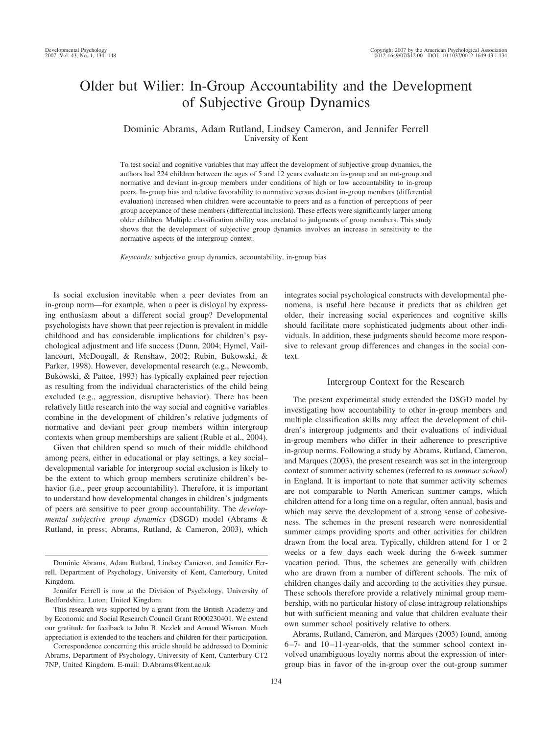# Older but Wilier: In-Group Accountability and the Development of Subjective Group Dynamics

## Dominic Abrams, Adam Rutland, Lindsey Cameron, and Jennifer Ferrell University of Kent

To test social and cognitive variables that may affect the development of subjective group dynamics, the authors had 224 children between the ages of 5 and 12 years evaluate an in-group and an out-group and normative and deviant in-group members under conditions of high or low accountability to in-group peers. In-group bias and relative favorability to normative versus deviant in-group members (differential evaluation) increased when children were accountable to peers and as a function of perceptions of peer group acceptance of these members (differential inclusion). These effects were significantly larger among older children. Multiple classification ability was unrelated to judgments of group members. This study shows that the development of subjective group dynamics involves an increase in sensitivity to the normative aspects of the intergroup context.

*Keywords:* subjective group dynamics, accountability, in-group bias

Is social exclusion inevitable when a peer deviates from an in-group norm—for example, when a peer is disloyal by expressing enthusiasm about a different social group? Developmental psychologists have shown that peer rejection is prevalent in middle childhood and has considerable implications for children's psychological adjustment and life success (Dunn, 2004; Hymel, Vaillancourt, McDougall, & Renshaw, 2002; Rubin, Bukowski, & Parker, 1998). However, developmental research (e.g., Newcomb, Bukowski, & Pattee, 1993) has typically explained peer rejection as resulting from the individual characteristics of the child being excluded (e.g., aggression, disruptive behavior). There has been relatively little research into the way social and cognitive variables combine in the development of children's relative judgments of normative and deviant peer group members within intergroup contexts when group memberships are salient (Ruble et al., 2004).

Given that children spend so much of their middle childhood among peers, either in educational or play settings, a key social– developmental variable for intergroup social exclusion is likely to be the extent to which group members scrutinize children's behavior (i.e., peer group accountability). Therefore, it is important to understand how developmental changes in children's judgments of peers are sensitive to peer group accountability. The *developmental subjective group dynamics* (DSGD) model (Abrams & Rutland, in press; Abrams, Rutland, & Cameron, 2003), which integrates social psychological constructs with developmental phenomena, is useful here because it predicts that as children get older, their increasing social experiences and cognitive skills should facilitate more sophisticated judgments about other individuals. In addition, these judgments should become more responsive to relevant group differences and changes in the social context.

#### Intergroup Context for the Research

The present experimental study extended the DSGD model by investigating how accountability to other in-group members and multiple classification skills may affect the development of children's intergroup judgments and their evaluations of individual in-group members who differ in their adherence to prescriptive in-group norms. Following a study by Abrams, Rutland, Cameron, and Marques (2003), the present research was set in the intergroup context of summer activity schemes (referred to as *summer school*) in England. It is important to note that summer activity schemes are not comparable to North American summer camps, which children attend for a long time on a regular, often annual, basis and which may serve the development of a strong sense of cohesiveness. The schemes in the present research were nonresidential summer camps providing sports and other activities for children drawn from the local area. Typically, children attend for 1 or 2 weeks or a few days each week during the 6-week summer vacation period. Thus, the schemes are generally with children who are drawn from a number of different schools. The mix of children changes daily and according to the activities they pursue. These schools therefore provide a relatively minimal group membership, with no particular history of close intragroup relationships but with sufficient meaning and value that children evaluate their own summer school positively relative to others.

Abrams, Rutland, Cameron, and Marques (2003) found, among 6–7- and 10–11-year-olds, that the summer school context involved unambiguous loyalty norms about the expression of intergroup bias in favor of the in-group over the out-group summer

Dominic Abrams, Adam Rutland, Lindsey Cameron, and Jennifer Ferrell, Department of Psychology, University of Kent, Canterbury, United Kingdom.

Jennifer Ferrell is now at the Division of Psychology, University of Bedfordshire, Luton, United Kingdom.

This research was supported by a grant from the British Academy and by Economic and Social Research Council Grant R000230401. We extend our gratitude for feedback to John B. Nezlek and Arnaud Wisman. Much appreciation is extended to the teachers and children for their participation.

Correspondence concerning this article should be addressed to Dominic Abrams, Department of Psychology, University of Kent, Canterbury CT2 7NP, United Kingdom. E-mail: D.Abrams@kent.ac.uk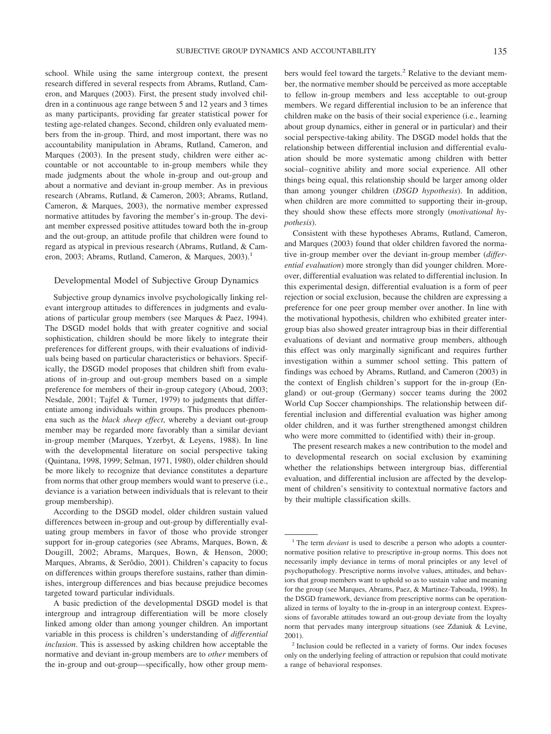school. While using the same intergroup context, the present research differed in several respects from Abrams, Rutland, Cameron, and Marques (2003). First, the present study involved children in a continuous age range between 5 and 12 years and 3 times as many participants, providing far greater statistical power for testing age-related changes. Second, children only evaluated members from the in-group. Third, and most important, there was no accountability manipulation in Abrams, Rutland, Cameron, and Marques (2003). In the present study, children were either accountable or not accountable to in-group members while they made judgments about the whole in-group and out-group and about a normative and deviant in-group member. As in previous research (Abrams, Rutland, & Cameron, 2003; Abrams, Rutland, Cameron, & Marques, 2003), the normative member expressed normative attitudes by favoring the member's in-group. The deviant member expressed positive attitudes toward both the in-group and the out-group, an attitude profile that children were found to regard as atypical in previous research (Abrams, Rutland, & Cameron, 2003; Abrams, Rutland, Cameron, & Marques, 2003).<sup>1</sup>

## Developmental Model of Subjective Group Dynamics

Subjective group dynamics involve psychologically linking relevant intergroup attitudes to differences in judgments and evaluations of particular group members (see Marques & Paez, 1994). The DSGD model holds that with greater cognitive and social sophistication, children should be more likely to integrate their preferences for different groups, with their evaluations of individuals being based on particular characteristics or behaviors. Specifically, the DSGD model proposes that children shift from evaluations of in-group and out-group members based on a simple preference for members of their in-group category (Aboud, 2003; Nesdale, 2001; Tajfel & Turner, 1979) to judgments that differentiate among individuals within groups. This produces phenomena such as the *black sheep effect*, whereby a deviant out-group member may be regarded more favorably than a similar deviant in-group member (Marques, Yzerbyt, & Leyens, 1988). In line with the developmental literature on social perspective taking (Quintana, 1998, 1999; Selman, 1971, 1980), older children should be more likely to recognize that deviance constitutes a departure from norms that other group members would want to preserve (i.e., deviance is a variation between individuals that is relevant to their group membership).

According to the DSGD model, older children sustain valued differences between in-group and out-group by differentially evaluating group members in favor of those who provide stronger support for in-group categories (see Abrams, Marques, Bown, & Dougill, 2002; Abrams, Marques, Bown, & Henson, 2000; Marques, Abrams, & Serôdio, 2001). Children's capacity to focus on differences within groups therefore sustains, rather than diminishes, intergroup differences and bias because prejudice becomes targeted toward particular individuals.

A basic prediction of the developmental DSGD model is that intergroup and intragroup differentiation will be more closely linked among older than among younger children. An important variable in this process is children's understanding of *differential inclusion*. This is assessed by asking children how acceptable the normative and deviant in-group members are to *other* members of the in-group and out-group—specifically, how other group members would feel toward the targets.<sup>2</sup> Relative to the deviant member, the normative member should be perceived as more acceptable to fellow in-group members and less acceptable to out-group members. We regard differential inclusion to be an inference that children make on the basis of their social experience (i.e., learning about group dynamics, either in general or in particular) and their social perspective-taking ability. The DSGD model holds that the relationship between differential inclusion and differential evaluation should be more systematic among children with better social–cognitive ability and more social experience. All other things being equal, this relationship should be larger among older than among younger children (*DSGD hypothesis*). In addition, when children are more committed to supporting their in-group, they should show these effects more strongly (*motivational hypothesis*).

Consistent with these hypotheses Abrams, Rutland, Cameron, and Marques (2003) found that older children favored the normative in-group member over the deviant in-group member (*differential evaluation*) more strongly than did younger children. Moreover, differential evaluation was related to differential inclusion. In this experimental design, differential evaluation is a form of peer rejection or social exclusion, because the children are expressing a preference for one peer group member over another. In line with the motivational hypothesis, children who exhibited greater intergroup bias also showed greater intragroup bias in their differential evaluations of deviant and normative group members, although this effect was only marginally significant and requires further investigation within a summer school setting. This pattern of findings was echoed by Abrams, Rutland, and Cameron (2003) in the context of English children's support for the in-group (England) or out-group (Germany) soccer teams during the 2002 World Cup Soccer championships. The relationship between differential inclusion and differential evaluation was higher among older children, and it was further strengthened amongst children who were more committed to (identified with) their in-group.

The present research makes a new contribution to the model and to developmental research on social exclusion by examining whether the relationships between intergroup bias, differential evaluation, and differential inclusion are affected by the development of children's sensitivity to contextual normative factors and by their multiple classification skills.

<sup>&</sup>lt;sup>1</sup> The term *deviant* is used to describe a person who adopts a counternormative position relative to prescriptive in-group norms. This does not necessarily imply deviance in terms of moral principles or any level of psychopathology. Prescriptive norms involve values, attitudes, and behaviors that group members want to uphold so as to sustain value and meaning for the group (see Marques, Abrams, Paez, & Martinez-Taboada, 1998). In the DSGD framework, deviance from prescriptive norms can be operationalized in terms of loyalty to the in-group in an intergroup context. Expressions of favorable attitudes toward an out-group deviate from the loyalty norm that pervades many intergroup situations (see Zdaniuk & Levine, 2001).

<sup>2</sup> Inclusion could be reflected in a variety of forms. Our index focuses only on the underlying feeling of attraction or repulsion that could motivate a range of behavioral responses.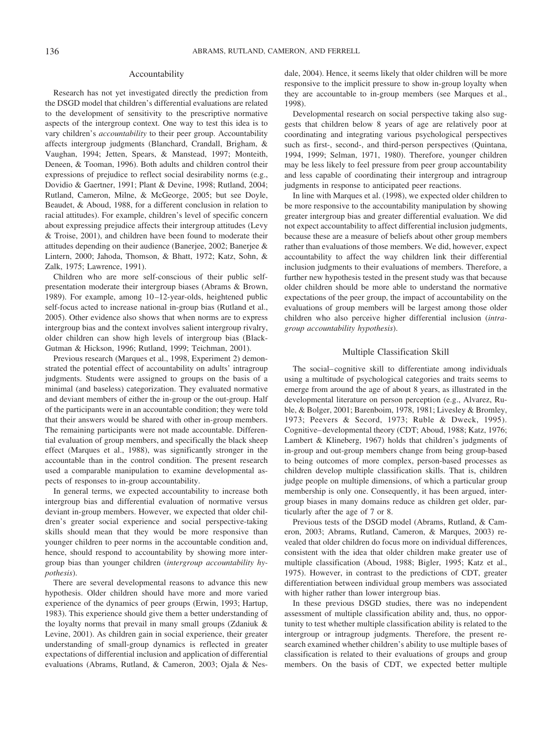#### Accountability

Research has not yet investigated directly the prediction from the DSGD model that children's differential evaluations are related to the development of sensitivity to the prescriptive normative aspects of the intergroup context. One way to test this idea is to vary children's *accountability* to their peer group. Accountability affects intergroup judgments (Blanchard, Crandall, Brigham, & Vaughan, 1994; Jetten, Spears, & Manstead, 1997; Monteith, Deneen, & Tooman, 1996). Both adults and children control their expressions of prejudice to reflect social desirability norms (e.g., Dovidio & Gaertner, 1991; Plant & Devine, 1998; Rutland, 2004; Rutland, Cameron, Milne, & McGeorge, 2005; but see Doyle, Beaudet, & Aboud, 1988, for a different conclusion in relation to racial attitudes). For example, children's level of specific concern about expressing prejudice affects their intergroup attitudes (Levy & Troise, 2001), and children have been found to moderate their attitudes depending on their audience (Banerjee, 2002; Banerjee & Lintern, 2000; Jahoda, Thomson, & Bhatt, 1972; Katz, Sohn, & Zalk, 1975; Lawrence, 1991).

Children who are more self-conscious of their public selfpresentation moderate their intergroup biases (Abrams & Brown, 1989). For example, among 10–12-year-olds, heightened public self-focus acted to increase national in-group bias (Rutland et al., 2005). Other evidence also shows that when norms are to express intergroup bias and the context involves salient intergroup rivalry, older children can show high levels of intergroup bias (Black-Gutman & Hickson, 1996; Rutland, 1999; Teichman, 2001).

Previous research (Marques et al., 1998, Experiment 2) demonstrated the potential effect of accountability on adults' intragroup judgments. Students were assigned to groups on the basis of a minimal (and baseless) categorization. They evaluated normative and deviant members of either the in-group or the out-group. Half of the participants were in an accountable condition; they were told that their answers would be shared with other in-group members. The remaining participants were not made accountable. Differential evaluation of group members, and specifically the black sheep effect (Marques et al., 1988), was significantly stronger in the accountable than in the control condition. The present research used a comparable manipulation to examine developmental aspects of responses to in-group accountability.

In general terms, we expected accountability to increase both intergroup bias and differential evaluation of normative versus deviant in-group members. However, we expected that older children's greater social experience and social perspective-taking skills should mean that they would be more responsive than younger children to peer norms in the accountable condition and, hence, should respond to accountability by showing more intergroup bias than younger children (*intergroup accountability hypothesis*).

There are several developmental reasons to advance this new hypothesis. Older children should have more and more varied experience of the dynamics of peer groups (Erwin, 1993; Hartup, 1983). This experience should give them a better understanding of the loyalty norms that prevail in many small groups (Zdaniuk & Levine, 2001). As children gain in social experience, their greater understanding of small-group dynamics is reflected in greater expectations of differential inclusion and application of differential evaluations (Abrams, Rutland, & Cameron, 2003; Ojala & Nesdale, 2004). Hence, it seems likely that older children will be more responsive to the implicit pressure to show in-group loyalty when they are accountable to in-group members (see Marques et al., 1998).

Developmental research on social perspective taking also suggests that children below 8 years of age are relatively poor at coordinating and integrating various psychological perspectives such as first-, second-, and third-person perspectives (Quintana, 1994, 1999; Selman, 1971, 1980). Therefore, younger children may be less likely to feel pressure from peer group accountability and less capable of coordinating their intergroup and intragroup judgments in response to anticipated peer reactions.

In line with Marques et al. (1998), we expected older children to be more responsive to the accountability manipulation by showing greater intergroup bias and greater differential evaluation. We did not expect accountability to affect differential inclusion judgments, because these are a measure of beliefs about other group members rather than evaluations of those members. We did, however, expect accountability to affect the way children link their differential inclusion judgments to their evaluations of members. Therefore, a further new hypothesis tested in the present study was that because older children should be more able to understand the normative expectations of the peer group, the impact of accountability on the evaluations of group members will be largest among those older children who also perceive higher differential inclusion (*intragroup accountability hypothesis*).

#### Multiple Classification Skill

The social–cognitive skill to differentiate among individuals using a multitude of psychological categories and traits seems to emerge from around the age of about 8 years, as illustrated in the developmental literature on person perception (e.g., Alvarez, Ruble, & Bolger, 2001; Barenboim, 1978, 1981; Livesley & Bromley, 1973; Peevers & Secord, 1973; Ruble & Dweck, 1995). Cognitive–developmental theory (CDT; Aboud, 1988; Katz, 1976; Lambert & Klineberg, 1967) holds that children's judgments of in-group and out-group members change from being group-based to being outcomes of more complex, person-based processes as children develop multiple classification skills. That is, children judge people on multiple dimensions, of which a particular group membership is only one. Consequently, it has been argued, intergroup biases in many domains reduce as children get older, particularly after the age of 7 or 8.

Previous tests of the DSGD model (Abrams, Rutland, & Cameron, 2003; Abrams, Rutland, Cameron, & Marques, 2003) revealed that older children do focus more on individual differences, consistent with the idea that older children make greater use of multiple classification (Aboud, 1988; Bigler, 1995; Katz et al., 1975). However, in contrast to the predictions of CDT, greater differentiation between individual group members was associated with higher rather than lower intergroup bias.

In these previous DSGD studies, there was no independent assessment of multiple classification ability and, thus, no opportunity to test whether multiple classification ability is related to the intergroup or intragroup judgments. Therefore, the present research examined whether children's ability to use multiple bases of classification is related to their evaluations of groups and group members. On the basis of CDT, we expected better multiple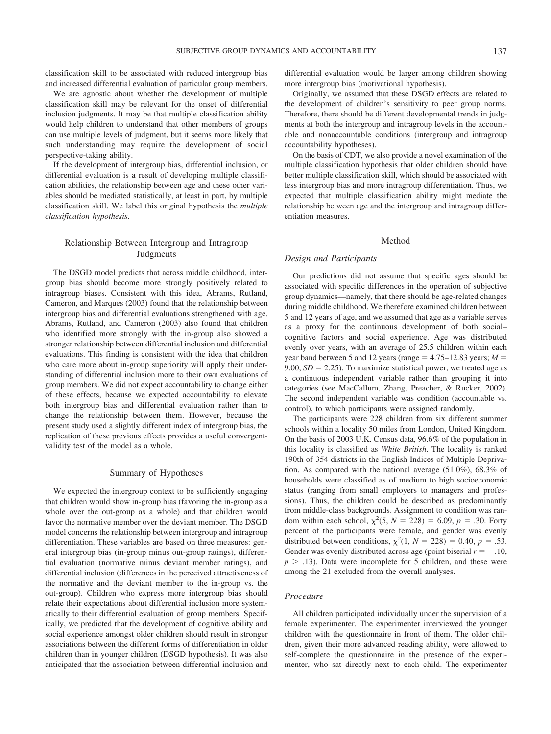classification skill to be associated with reduced intergroup bias and increased differential evaluation of particular group members.

We are agnostic about whether the development of multiple classification skill may be relevant for the onset of differential inclusion judgments. It may be that multiple classification ability would help children to understand that other members of groups can use multiple levels of judgment, but it seems more likely that such understanding may require the development of social perspective-taking ability.

If the development of intergroup bias, differential inclusion, or differential evaluation is a result of developing multiple classification abilities, the relationship between age and these other variables should be mediated statistically, at least in part, by multiple classification skill. We label this original hypothesis the *multiple classification hypothesis*.

# Relationship Between Intergroup and Intragroup Judgments

The DSGD model predicts that across middle childhood, intergroup bias should become more strongly positively related to intragroup biases. Consistent with this idea, Abrams, Rutland, Cameron, and Marques (2003) found that the relationship between intergroup bias and differential evaluations strengthened with age. Abrams, Rutland, and Cameron (2003) also found that children who identified more strongly with the in-group also showed a stronger relationship between differential inclusion and differential evaluations. This finding is consistent with the idea that children who care more about in-group superiority will apply their understanding of differential inclusion more to their own evaluations of group members. We did not expect accountability to change either of these effects, because we expected accountability to elevate both intergroup bias and differential evaluation rather than to change the relationship between them. However, because the present study used a slightly different index of intergroup bias, the replication of these previous effects provides a useful convergentvalidity test of the model as a whole.

# Summary of Hypotheses

We expected the intergroup context to be sufficiently engaging that children would show in-group bias (favoring the in-group as a whole over the out-group as a whole) and that children would favor the normative member over the deviant member. The DSGD model concerns the relationship between intergroup and intragroup differentiation. These variables are based on three measures: general intergroup bias (in-group minus out-group ratings), differential evaluation (normative minus deviant member ratings), and differential inclusion (differences in the perceived attractiveness of the normative and the deviant member to the in-group vs. the out-group). Children who express more intergroup bias should relate their expectations about differential inclusion more systematically to their differential evaluation of group members. Specifically, we predicted that the development of cognitive ability and social experience amongst older children should result in stronger associations between the different forms of differentiation in older children than in younger children (DSGD hypothesis). It was also anticipated that the association between differential inclusion and

differential evaluation would be larger among children showing more intergroup bias (motivational hypothesis).

Originally, we assumed that these DSGD effects are related to the development of children's sensitivity to peer group norms. Therefore, there should be different developmental trends in judgments at both the intergroup and intragroup levels in the accountable and nonaccountable conditions (intergroup and intragroup accountability hypotheses).

On the basis of CDT, we also provide a novel examination of the multiple classification hypothesis that older children should have better multiple classification skill, which should be associated with less intergroup bias and more intragroup differentiation. Thus, we expected that multiple classification ability might mediate the relationship between age and the intergroup and intragroup differentiation measures.

# Method

#### *Design and Participants*

Our predictions did not assume that specific ages should be associated with specific differences in the operation of subjective group dynamics—namely, that there should be age-related changes during middle childhood. We therefore examined children between 5 and 12 years of age, and we assumed that age as a variable serves as a proxy for the continuous development of both social– cognitive factors and social experience. Age was distributed evenly over years, with an average of 25.5 children within each year band between 5 and 12 years (range  $= 4.75-12.83$  years;  $M =$ 9.00,  $SD = 2.25$ ). To maximize statistical power, we treated age as a continuous independent variable rather than grouping it into categories (see MacCallum, Zhang, Preacher, & Rucker, 2002). The second independent variable was condition (accountable vs. control), to which participants were assigned randomly.

The participants were 228 children from six different summer schools within a locality 50 miles from London, United Kingdom. On the basis of 2003 U.K. Census data, 96.6% of the population in this locality is classified as *White British*. The locality is ranked 190th of 354 districts in the English Indices of Multiple Deprivation. As compared with the national average (51.0%), 68.3% of households were classified as of medium to high socioeconomic status (ranging from small employers to managers and professions). Thus, the children could be described as predominantly from middle-class backgrounds. Assignment to condition was random within each school,  $\chi^2(5, N = 228) = 6.09$ ,  $p = .30$ . Forty percent of the participants were female, and gender was evenly distributed between conditions,  $\chi^2(1, N = 228) = 0.40, p = .53$ . Gender was evenly distributed across age (point biserial  $r = -.10$ ,  $p > .13$ ). Data were incomplete for 5 children, and these were among the 21 excluded from the overall analyses.

#### *Procedure*

All children participated individually under the supervision of a female experimenter. The experimenter interviewed the younger children with the questionnaire in front of them. The older children, given their more advanced reading ability, were allowed to self-complete the questionnaire in the presence of the experimenter, who sat directly next to each child. The experimenter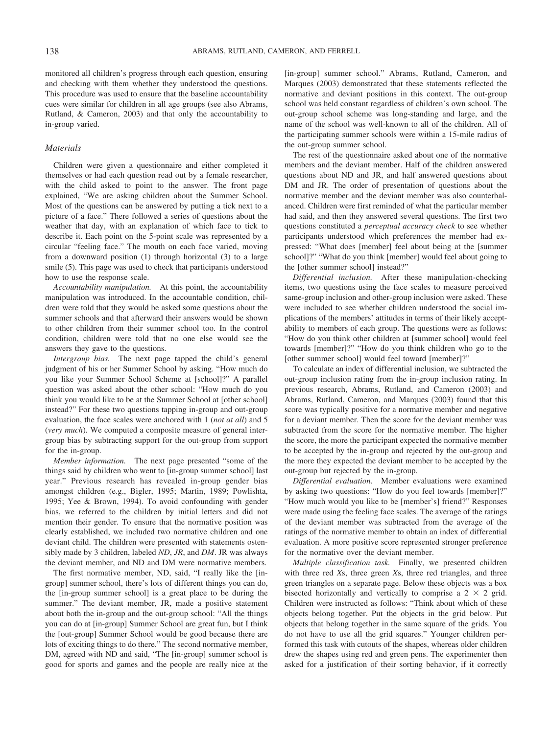monitored all children's progress through each question, ensuring and checking with them whether they understood the questions. This procedure was used to ensure that the baseline accountability cues were similar for children in all age groups (see also Abrams, Rutland, & Cameron, 2003) and that only the accountability to in-group varied.

# *Materials*

Children were given a questionnaire and either completed it themselves or had each question read out by a female researcher, with the child asked to point to the answer. The front page explained, "We are asking children about the Summer School. Most of the questions can be answered by putting a tick next to a picture of a face." There followed a series of questions about the weather that day, with an explanation of which face to tick to describe it. Each point on the 5-point scale was represented by a circular "feeling face." The mouth on each face varied, moving from a downward position (1) through horizontal (3) to a large smile (5). This page was used to check that participants understood how to use the response scale.

*Accountability manipulation.* At this point, the accountability manipulation was introduced. In the accountable condition, children were told that they would be asked some questions about the summer schools and that afterward their answers would be shown to other children from their summer school too. In the control condition, children were told that no one else would see the answers they gave to the questions.

*Intergroup bias.* The next page tapped the child's general judgment of his or her Summer School by asking. "How much do you like your Summer School Scheme at [school]?" A parallel question was asked about the other school: "How much do you think you would like to be at the Summer School at [other school] instead?" For these two questions tapping in-group and out-group evaluation, the face scales were anchored with 1 (*not at all*) and 5 (*very much*). We computed a composite measure of general intergroup bias by subtracting support for the out-group from support for the in-group.

*Member information.* The next page presented "some of the things said by children who went to [in-group summer school] last year." Previous research has revealed in-group gender bias amongst children (e.g., Bigler, 1995; Martin, 1989; Powlishta, 1995; Yee & Brown, 1994). To avoid confounding with gender bias, we referred to the children by initial letters and did not mention their gender. To ensure that the normative position was clearly established, we included two normative children and one deviant child. The children were presented with statements ostensibly made by 3 children, labeled *ND*, *JR*, and *DM*. JR was always the deviant member, and ND and DM were normative members.

The first normative member, ND, said, "I really like the [ingroup] summer school, there's lots of different things you can do, the [in-group summer school] is a great place to be during the summer." The deviant member, JR, made a positive statement about both the in-group and the out-group school: "All the things you can do at [in-group] Summer School are great fun, but I think the [out-group] Summer School would be good because there are lots of exciting things to do there." The second normative member, DM, agreed with ND and said, "The [in-group] summer school is good for sports and games and the people are really nice at the [in-group] summer school." Abrams, Rutland, Cameron, and Marques (2003) demonstrated that these statements reflected the normative and deviant positions in this context. The out-group school was held constant regardless of children's own school. The out-group school scheme was long-standing and large, and the name of the school was well-known to all of the children. All of the participating summer schools were within a 15-mile radius of the out-group summer school.

The rest of the questionnaire asked about one of the normative members and the deviant member. Half of the children answered questions about ND and JR, and half answered questions about DM and JR. The order of presentation of questions about the normative member and the deviant member was also counterbalanced. Children were first reminded of what the particular member had said, and then they answered several questions. The first two questions constituted a *perceptual accuracy check* to see whether participants understood which preferences the member had expressed: "What does [member] feel about being at the [summer school]?" "What do you think [member] would feel about going to the [other summer school] instead?"

*Differential inclusion.* After these manipulation-checking items, two questions using the face scales to measure perceived same-group inclusion and other-group inclusion were asked. These were included to see whether children understood the social implications of the members' attitudes in terms of their likely acceptability to members of each group. The questions were as follows: "How do you think other children at [summer school] would feel towards [member]?" "How do you think children who go to the [other summer school] would feel toward [member]?"

To calculate an index of differential inclusion, we subtracted the out-group inclusion rating from the in-group inclusion rating. In previous research, Abrams, Rutland, and Cameron (2003) and Abrams, Rutland, Cameron, and Marques (2003) found that this score was typically positive for a normative member and negative for a deviant member. Then the score for the deviant member was subtracted from the score for the normative member. The higher the score, the more the participant expected the normative member to be accepted by the in-group and rejected by the out-group and the more they expected the deviant member to be accepted by the out-group but rejected by the in-group.

*Differential evaluation.* Member evaluations were examined by asking two questions: "How do you feel towards [member]?" "How much would you like to be [member's] friend?" Responses were made using the feeling face scales. The average of the ratings of the deviant member was subtracted from the average of the ratings of the normative member to obtain an index of differential evaluation. A more positive score represented stronger preference for the normative over the deviant member.

*Multiple classification task.* Finally, we presented children with three red *X*s, three green *X*s, three red triangles, and three green triangles on a separate page. Below these objects was a box bisected horizontally and vertically to comprise a  $2 \times 2$  grid. Children were instructed as follows: "Think about which of these objects belong together. Put the objects in the grid below. Put objects that belong together in the same square of the grids. You do not have to use all the grid squares." Younger children performed this task with cutouts of the shapes, whereas older children drew the shapes using red and green pens. The experimenter then asked for a justification of their sorting behavior, if it correctly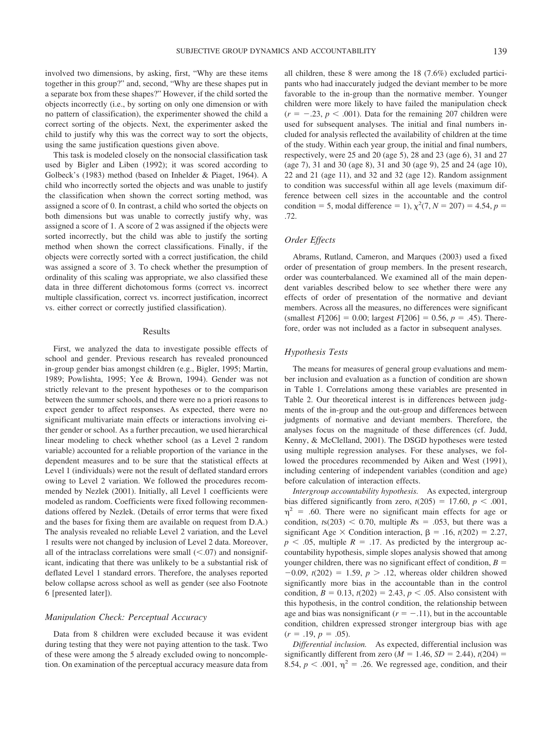involved two dimensions, by asking, first, "Why are these items together in this group?" and, second, "Why are these shapes put in a separate box from these shapes?" However, if the child sorted the objects incorrectly (i.e., by sorting on only one dimension or with no pattern of classification), the experimenter showed the child a correct sorting of the objects. Next, the experimenter asked the child to justify why this was the correct way to sort the objects, using the same justification questions given above.

This task is modeled closely on the nonsocial classification task used by Bigler and Liben (1992); it was scored according to Golbeck's (1983) method (based on Inhelder & Piaget, 1964). A child who incorrectly sorted the objects and was unable to justify the classification when shown the correct sorting method, was assigned a score of 0. In contrast, a child who sorted the objects on both dimensions but was unable to correctly justify why, was assigned a score of 1. A score of 2 was assigned if the objects were sorted incorrectly, but the child was able to justify the sorting method when shown the correct classifications. Finally, if the objects were correctly sorted with a correct justification, the child was assigned a score of 3. To check whether the presumption of ordinality of this scaling was appropriate, we also classified these data in three different dichotomous forms (correct vs. incorrect multiple classification, correct vs. incorrect justification, incorrect vs. either correct or correctly justified classification).

#### Results

First, we analyzed the data to investigate possible effects of school and gender. Previous research has revealed pronounced in-group gender bias amongst children (e.g., Bigler, 1995; Martin, 1989; Powlishta, 1995; Yee & Brown, 1994). Gender was not strictly relevant to the present hypotheses or to the comparison between the summer schools, and there were no a priori reasons to expect gender to affect responses. As expected, there were no significant multivariate main effects or interactions involving either gender or school. As a further precaution, we used hierarchical linear modeling to check whether school (as a Level 2 random variable) accounted for a reliable proportion of the variance in the dependent measures and to be sure that the statistical effects at Level 1 (individuals) were not the result of deflated standard errors owing to Level 2 variation. We followed the procedures recommended by Nezlek (2001). Initially, all Level 1 coefficients were modeled as random. Coefficients were fixed following recommendations offered by Nezlek. (Details of error terms that were fixed and the bases for fixing them are available on request from D.A.) The analysis revealed no reliable Level 2 variation, and the Level 1 results were not changed by inclusion of Level 2 data. Moreover, all of the intraclass correlations were small  $(<.07)$  and nonsignificant, indicating that there was unlikely to be a substantial risk of deflated Level 1 standard errors. Therefore, the analyses reported below collapse across school as well as gender (see also Footnote 6 [presented later]).

#### *Manipulation Check: Perceptual Accuracy*

Data from 8 children were excluded because it was evident during testing that they were not paying attention to the task. Two of these were among the 5 already excluded owing to noncompletion. On examination of the perceptual accuracy measure data from all children, these 8 were among the 18 (7.6%) excluded participants who had inaccurately judged the deviant member to be more favorable to the in-group than the normative member. Younger children were more likely to have failed the manipulation check  $(r = -.23, p < .001)$ . Data for the remaining 207 children were used for subsequent analyses. The initial and final numbers included for analysis reflected the availability of children at the time of the study. Within each year group, the initial and final numbers, respectively, were 25 and 20 (age 5), 28 and 23 (age 6), 31 and 27 (age 7), 31 and 30 (age 8), 31 and 30 (age 9), 25 and 24 (age 10), 22 and 21 (age 11), and 32 and 32 (age 12). Random assignment to condition was successful within all age levels (maximum difference between cell sizes in the accountable and the control condition = 5, modal difference = 1),  $\chi^2$ (7, *N* = 207) = 4.54, *p* = .72.

#### *Order Effects*

Abrams, Rutland, Cameron, and Marques (2003) used a fixed order of presentation of group members. In the present research, order was counterbalanced. We examined all of the main dependent variables described below to see whether there were any effects of order of presentation of the normative and deviant members. Across all the measures, no differences were significant (smallest  $F[206] = 0.00$ ; largest  $F[206] = 0.56$ ,  $p = .45$ ). Therefore, order was not included as a factor in subsequent analyses.

# *Hypothesis Tests*

The means for measures of general group evaluations and member inclusion and evaluation as a function of condition are shown in Table 1. Correlations among these variables are presented in Table 2. Our theoretical interest is in differences between judgments of the in-group and the out-group and differences between judgments of normative and deviant members. Therefore, the analyses focus on the magnitude of these differences (cf. Judd, Kenny, & McClelland, 2001). The DSGD hypotheses were tested using multiple regression analyses. For these analyses, we followed the procedures recommended by Aiken and West (1991), including centering of independent variables (condition and age) before calculation of interaction effects.

*Intergroup accountability hypothesis.* As expected, intergroup bias differed significantly from zero,  $t(205) = 17.60$ ,  $p < .001$ ,  $\eta^2$  = .60. There were no significant main effects for age or condition,  $t s(203) < 0.70$ , multiple  $Rs = .053$ , but there was a significant Age  $\times$  Condition interaction,  $\beta = .16$ ,  $t(202) = 2.27$ ,  $p < .05$ , multiple  $R = .17$ . As predicted by the intergroup accountability hypothesis, simple slopes analysis showed that among younger children, there was no significant effect of condition,  $B =$  $-0.09$ ,  $t(202) = 1.59$ ,  $p > 0.12$ , whereas older children showed significantly more bias in the accountable than in the control condition,  $B = 0.13$ ,  $t(202) = 2.43$ ,  $p < .05$ . Also consistent with this hypothesis, in the control condition, the relationship between age and bias was nonsignificant  $(r = -.11)$ , but in the accountable condition, children expressed stronger intergroup bias with age  $(r = .19, p = .05)$ .

*Differential inclusion.* As expected, differential inclusion was significantly different from zero ( $M = 1.46$ ,  $SD = 2.44$ ),  $t(204) =$ 8.54,  $p < .001$ ,  $\eta^2 = .26$ . We regressed age, condition, and their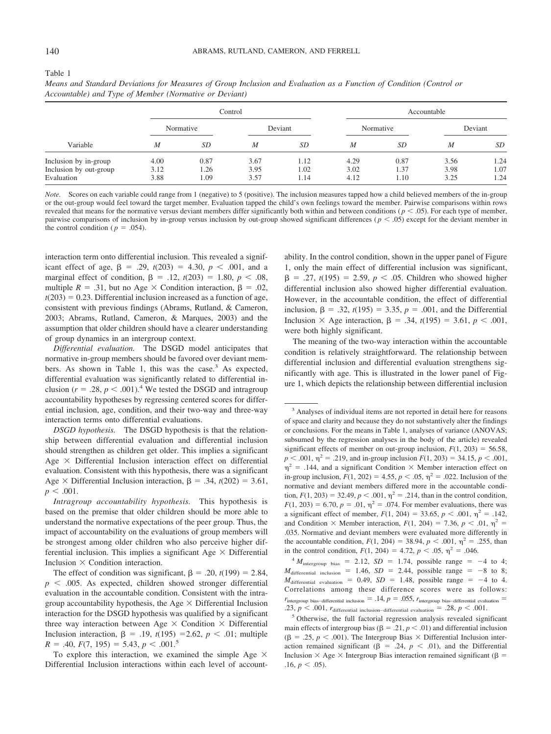#### Table 1

| Variable                                        | Control          |              |                  |              | Accountable  |              |              |              |  |
|-------------------------------------------------|------------------|--------------|------------------|--------------|--------------|--------------|--------------|--------------|--|
|                                                 | Normative        |              | Deviant          |              | Normative    |              | Deviant      |              |  |
|                                                 | $\boldsymbol{M}$ | <i>SD</i>    | $\boldsymbol{M}$ | SD           | M            | <i>SD</i>    | M            | SD           |  |
| Inclusion by in-group<br>Inclusion by out-group | 4.00<br>3.12     | 0.87<br>1.26 | 3.67<br>3.95     | 1.12<br>1.02 | 4.29<br>3.02 | 0.87<br>1.37 | 3.56<br>3.98 | 1.24<br>1.07 |  |
| Evaluation                                      | 3.88             | 1.09         | 3.57             | 1.14         | 4.12         | 1.10         | 3.25         | 1.24         |  |

*Means and Standard Deviations for Measures of Group Inclusion and Evaluation as a Function of Condition (Control or Accountable) and Type of Member (Normative or Deviant)*

*Note.* Scores on each variable could range from 1 (negative) to 5 (positive). The inclusion measures tapped how a child believed members of the in-group or the out-group would feel toward the target member. Evaluation tapped the child's own feelings toward the member. Pairwise comparisons within rows revealed that means for the normative versus deviant members differ significantly both within and between conditions ( $p < .05$ ). For each type of member, pairwise comparisons of inclusion by in-group versus inclusion by out-group showed significant differences ( $p < .05$ ) except for the deviant member in the control condition ( $p = .054$ ).

interaction term onto differential inclusion. This revealed a significant effect of age,  $\beta$  = .29,  $t(203)$  = 4.30,  $p$  < .001, and a marginal effect of condition,  $\beta = .12$ ,  $t(203) = 1.80$ ,  $p < .08$ , multiple  $R = .31$ , but no Age  $\times$  Condition interaction,  $\beta = .02$ ,  $t(203) = 0.23$ . Differential inclusion increased as a function of age, consistent with previous findings (Abrams, Rutland, & Cameron, 2003; Abrams, Rutland, Cameron, & Marques, 2003) and the assumption that older children should have a clearer understanding of group dynamics in an intergroup context.

*Differential evaluation.* The DSGD model anticipates that normative in-group members should be favored over deviant members. As shown in Table 1, this was the case.<sup>3</sup> As expected, differential evaluation was significantly related to differential inclusion ( $r = .28$ ,  $p < .001$ ).<sup>4</sup> We tested the DSGD and intragroup accountability hypotheses by regressing centered scores for differential inclusion, age, condition, and their two-way and three-way interaction terms onto differential evaluations.

*DSGD hypothesis.* The DSGD hypothesis is that the relationship between differential evaluation and differential inclusion should strengthen as children get older. This implies a significant Age  $\times$  Differential Inclusion interaction effect on differential evaluation. Consistent with this hypothesis, there was a significant Age  $\times$  Differential Inclusion interaction,  $\beta = .34$ ,  $t(202) = 3.61$ ,  $p < .001$ .

*Intragroup accountability hypothesis.* This hypothesis is based on the premise that older children should be more able to understand the normative expectations of the peer group. Thus, the impact of accountability on the evaluations of group members will be strongest among older children who also perceive higher differential inclusion. This implies a significant Age  $\times$  Differential Inclusion  $\times$  Condition interaction.

The effect of condition was significant,  $\beta = .20$ ,  $t(199) = 2.84$ ,  $p \leq 0.005$ . As expected, children showed stronger differential evaluation in the accountable condition. Consistent with the intragroup accountability hypothesis, the Age  $\times$  Differential Inclusion interaction for the DSGD hypothesis was qualified by a significant three way interaction between Age  $\times$  Condition  $\times$  Differential Inclusion interaction,  $\beta = .19$ ,  $t(195) = 2.62$ ,  $p < .01$ ; multiple  $R = .40, F(7, 195) = 5.43, p < .001<sup>5</sup>$ 

To explore this interaction, we examined the simple Age  $\times$ Differential Inclusion interactions within each level of accountability. In the control condition, shown in the upper panel of Figure 1, only the main effect of differential inclusion was significant,  $\beta$  = .27, *t*(195) = 2.59, *p* < .05. Children who showed higher differential inclusion also showed higher differential evaluation. However, in the accountable condition, the effect of differential inclusion,  $\beta = .32$ ,  $t(195) = 3.35$ ,  $p = .001$ , and the Differential Inclusion  $\times$  Age interaction,  $\beta$  = .34, *t*(195) = 3.61, *p* < .001, were both highly significant.

The meaning of the two-way interaction within the accountable condition is relatively straightforward. The relationship between differential inclusion and differential evaluation strengthens significantly with age. This is illustrated in the lower panel of Figure 1, which depicts the relationship between differential inclusion

<sup>&</sup>lt;sup>3</sup> Analyses of individual items are not reported in detail here for reasons of space and clarity and because they do not substantively alter the findings or conclusions. For the means in Table 1, analyses of variance (ANOVAS; subsumed by the regression analyses in the body of the article) revealed significant effects of member on out-group inclusion,  $F(1, 203) = 56.58$ ,  $p < .001$ ,  $\eta^2 = .219$ , and in-group inclusion  $F(1, 203) = 34.15$ ,  $p < .001$ ,  $\eta^2$  = .144, and a significant Condition  $\times$  Member interaction effect on in-group inclusion,  $F(1, 202) = 4.55$ ,  $p < .05$ ,  $\eta^2 = .022$ . Inclusion of the normative and deviant members differed more in the accountable condition,  $F(1, 203) = 32.49$ ,  $p < .001$ ,  $\eta^2 = .214$ , than in the control condition,  $F(1, 203) = 6.70, p = .01, \eta^2 = .074$ . For member evaluations, there was a significant effect of member,  $F(1, 204) = 33.65$ ,  $p < .001$ ,  $\eta^2 = .142$ , and Condition  $\times$  Member interaction,  $F(1, 204) = 7.36$ ,  $p < .01$ ,  $\eta^2 =$ .035. Normative and deviant members were evaluated more differently in the accountable condition,  $F(1, 204) = 38.94$ ,  $p < .001$ ,  $\eta^2 = .255$ , than in the control condition,  $F(1, 204) = 4.72$ ,  $p < .05$ ,  $\eta^2 = .046$ .

 $^{4}$   $M_{\text{intergroup bias}}$  = 2.12,  $SD = 1.74$ , possible range = -4 to 4;  $M_{\text{differential inclusion}} = 1.46$ ,  $SD = 2.44$ , possible range = -8 to 8;  $M_{\text{differential evaluation}} = 0.49, SD = 1.48, possible range = -4$  to 4. Correlations among these difference scores were as follows:  $r_{\text{intergroup bias}-\text{differential inclusion}} = .14, p = .055, r_{\text{intergroup bias}-\text{differential evaluation}} =$ .23,  $p < .001$ ,  $r_{\text{differential inclusion-differential evaluation}} = .28$ ,  $p < .001$ .

<sup>5</sup> Otherwise, the full factorial regression analysis revealed significant main effects of intergroup bias ( $\beta = .21, p < .01$ ) and differential inclusion ( $\beta$  = .25,  $p$  < .001). The Intergroup Bias  $\times$  Differential Inclusion interaction remained significant ( $\beta$  = .24,  $p$  < .01), and the Differential Inclusion  $\times$  Age  $\times$  Intergroup Bias interaction remained significant ( $\beta$  =  $.16, p \lt .05$ ).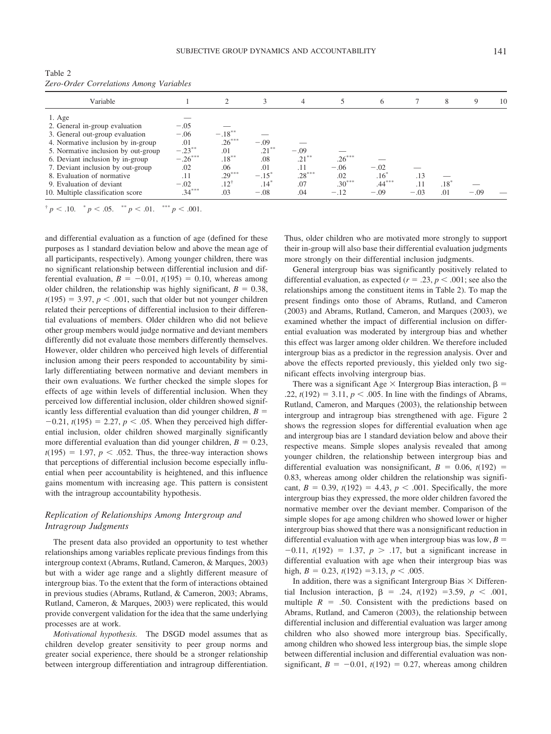| e. |
|----|
|----|

| Variable                            |           |                      |                | 4        |          | 6        |        | 8      | 9      | 10 |
|-------------------------------------|-----------|----------------------|----------------|----------|----------|----------|--------|--------|--------|----|
| $1. \text{Age}$                     |           |                      |                |          |          |          |        |        |        |    |
| 2. General in-group evaluation      | $-.05$    |                      |                |          |          |          |        |        |        |    |
| 3. General out-group evaluation     | $-.06$    | $-.18$ <sup>**</sup> |                |          |          |          |        |        |        |    |
| 4. Normative inclusion by in-group  | .01       | $.26***$             | $-.09$         |          |          |          |        |        |        |    |
| 5. Normative inclusion by out-group | $-.23$ ** | .01                  | $.21***$       | $-.09$   |          |          |        |        |        |    |
| 6. Deviant inclusion by in-group    | $-.26***$ | $.18***$             | .08            | $.21***$ | $.26***$ |          |        |        |        |    |
| 7. Deviant inclusion by out-group   | .02       | .06                  | .01            | .11      | $-.06$   | $-.02$   |        |        |        |    |
| 8. Evaluation of normative          | .11       | $.29***$             | $-.15^{\circ}$ | $.28***$ | .02      | .16      | .13    |        |        |    |
| 9. Evaluation of deviant            | $-.02$    | $.12^{+}$            | $.14*$         | .07      | $.30***$ | $.44***$ | .11    | $.18*$ |        |    |
| 10. Multiple classification score   | $.34***$  | .03                  | $-.08$         | .04      | $-.12$   | $-.09$   | $-.03$ | .01    | $-.09$ |    |

Table 2 *Zero-Order Correlations Among Variables*

 $\frac{p}{p}$  < .10.  $\frac{k}{p}$  < .05.  $\frac{k}{p}$  < .01.  $\frac{k}{p}$  < .001.

and differential evaluation as a function of age (defined for these purposes as 1 standard deviation below and above the mean age of all participants, respectively). Among younger children, there was no significant relationship between differential inclusion and differential evaluation,  $B = -0.01$ ,  $t(195) = 0.10$ , whereas among older children, the relationship was highly significant,  $B = 0.38$ ,  $t(195) = 3.97$ ,  $p < .001$ , such that older but not younger children related their perceptions of differential inclusion to their differential evaluations of members. Older children who did not believe other group members would judge normative and deviant members differently did not evaluate those members differently themselves. However, older children who perceived high levels of differential inclusion among their peers responded to accountability by similarly differentiating between normative and deviant members in their own evaluations. We further checked the simple slopes for effects of age within levels of differential inclusion. When they perceived low differential inclusion, older children showed significantly less differential evaluation than did younger children,  $B =$  $-0.21$ ,  $t(195) = 2.27$ ,  $p < .05$ . When they perceived high differential inclusion, older children showed marginally significantly more differential evaluation than did younger children,  $B = 0.23$ ,  $t(195) = 1.97$ ,  $p < .052$ . Thus, the three-way interaction shows that perceptions of differential inclusion become especially influential when peer accountability is heightened, and this influence gains momentum with increasing age. This pattern is consistent with the intragroup accountability hypothesis.

# *Replication of Relationships Among Intergroup and Intragroup Judgments*

The present data also provided an opportunity to test whether relationships among variables replicate previous findings from this intergroup context (Abrams, Rutland, Cameron, & Marques, 2003) but with a wider age range and a slightly different measure of intergroup bias. To the extent that the form of interactions obtained in previous studies (Abrams, Rutland, & Cameron, 2003; Abrams, Rutland, Cameron, & Marques, 2003) were replicated, this would provide convergent validation for the idea that the same underlying processes are at work.

*Motivational hypothesis.* The DSGD model assumes that as children develop greater sensitivity to peer group norms and greater social experience, there should be a stronger relationship between intergroup differentiation and intragroup differentiation.

Thus, older children who are motivated more strongly to support their in-group will also base their differential evaluation judgments more strongly on their differential inclusion judgments.

General intergroup bias was significantly positively related to differential evaluation, as expected ( $r = .23$ ,  $p < .001$ ; see also the relationships among the constituent items in Table 2). To map the present findings onto those of Abrams, Rutland, and Cameron (2003) and Abrams, Rutland, Cameron, and Marques (2003), we examined whether the impact of differential inclusion on differential evaluation was moderated by intergroup bias and whether this effect was larger among older children. We therefore included intergroup bias as a predictor in the regression analysis. Over and above the effects reported previously, this yielded only two significant effects involving intergroup bias.

There was a significant Age  $\times$  Intergroup Bias interaction,  $\beta$  = .22,  $t(192) = 3.11$ ,  $p < .005$ . In line with the findings of Abrams, Rutland, Cameron, and Marques (2003), the relationship between intergroup and intragroup bias strengthened with age. Figure 2 shows the regression slopes for differential evaluation when age and intergroup bias are 1 standard deviation below and above their respective means. Simple slopes analysis revealed that among younger children, the relationship between intergroup bias and differential evaluation was nonsignificant,  $B = 0.06$ ,  $t(192) =$ 0.83, whereas among older children the relationship was significant,  $B = 0.39$ ,  $t(192) = 4.43$ ,  $p < .001$ . Specifically, the more intergroup bias they expressed, the more older children favored the normative member over the deviant member. Comparison of the simple slopes for age among children who showed lower or higher intergroup bias showed that there was a nonsignificant reduction in differential evaluation with age when intergroup bias was low,  $B =$  $-0.11$ ,  $t(192) = 1.37$ ,  $p > .17$ , but a significant increase in differential evaluation with age when their intergroup bias was high,  $B = 0.23$ ,  $t(192) = 3.13$ ,  $p < .005$ .

In addition, there was a significant Intergroup Bias  $\times$  Differential Inclusion interaction,  $\beta = .24$ ,  $t(192) = 3.59$ ,  $p < .001$ , multiple  $R = .50$ . Consistent with the predictions based on Abrams, Rutland, and Cameron (2003), the relationship between differential inclusion and differential evaluation was larger among children who also showed more intergroup bias. Specifically, among children who showed less intergroup bias, the simple slope between differential inclusion and differential evaluation was nonsignificant,  $B = -0.01$ ,  $t(192) = 0.27$ , whereas among children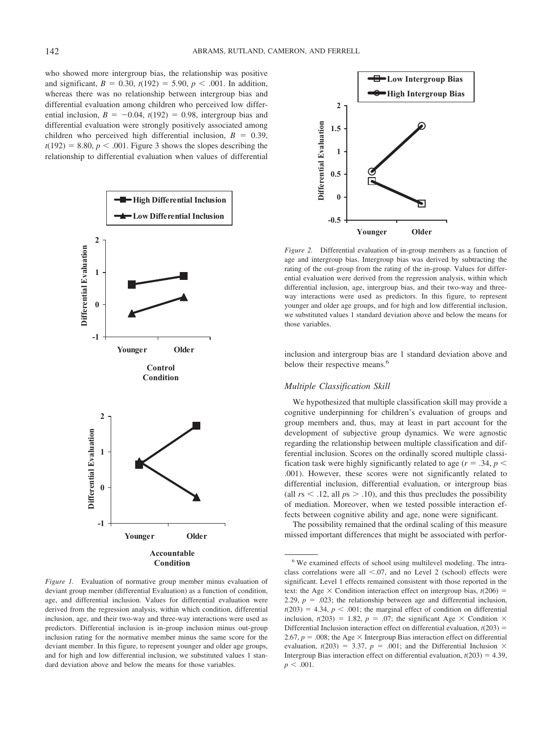who showed more intergroup bias, the relationship was positive and significant,  $B = 0.30$ ,  $t(192) = 5.90$ ,  $p < .001$ . In addition, whereas there was no relationship between intergroup bias and differential evaluation among children who perceived low differential inclusion,  $B = -0.04$ ,  $t(192) = 0.98$ , intergroup bias and differential evaluation were strongly positively associated among children who perceived high differential inclusion,  $B = 0.39$ ,  $t(192) = 8.80, p < .001$ . Figure 3 shows the slopes describing the relationship to differential evaluation when values of differential



*Figure 1.* Evaluation of normative group member minus evaluation of deviant group member (differential Evaluation) as a function of condition, age, and differential inclusion. Values for differential evaluation were derived from the regression analysis, within which condition, differential inclusion, age, and their two-way and three-way interactions were used as predictors. Differential inclusion is in-group inclusion minus out-group inclusion rating for the normative member minus the same score for the deviant member. In this figure, to represent younger and older age groups, and for high and low differential inclusion, we substituted values 1 standard deviation above and below the means for those variables.



*Figure 2.* Differential evaluation of in-group members as a function of age and intergroup bias. Intergroup bias was derived by subtracting the rating of the out-group from the rating of the in-group. Values for differential evaluation were derived from the regression analysis, within which differential inclusion, age, intergroup bias, and their two-way and threeway interactions were used as predictors. In this figure, to represent younger and older age groups, and for high and low differential inclusion, we substituted values 1 standard deviation above and below the means for those variables.

inclusion and intergroup bias are 1 standard deviation above and below their respective means.<sup>6</sup>

### *Multiple Classification Skill*

We hypothesized that multiple classification skill may provide a cognitive underpinning for children's evaluation of groups and group members and, thus, may at least in part account for the development of subjective group dynamics. We were agnostic regarding the relationship between multiple classification and differential inclusion. Scores on the ordinally scored multiple classification task were highly significantly related to age ( $r = .34$ ,  $p <$ .001). However, these scores were not significantly related to differential inclusion, differential evaluation, or intergroup bias (all  $rs < .12$ , all  $ps > .10$ ), and this thus precludes the possibility of mediation. Moreover, when we tested possible interaction effects between cognitive ability and age, none were significant.

The possibility remained that the ordinal scaling of this measure missed important differences that might be associated with perfor-

<sup>&</sup>lt;sup>6</sup> We examined effects of school using multilevel modeling. The intraclass correlations were all  $\leq$ .07, and no Level 2 (school) effects were significant. Level 1 effects remained consistent with those reported in the text: the Age  $\times$  Condition interaction effect on intergroup bias,  $t(206)$  = 2.29,  $p = .023$ ; the relationship between age and differential inclusion,  $t(203) = 4.34$ ,  $p < .001$ ; the marginal effect of condition on differential inclusion,  $t(203) = 1.82$ ,  $p = .07$ ; the significant Age  $\times$  Condition  $\times$ Differential Inclusion interaction effect on differential evaluation,  $t(203)$  = 2.67,  $p = .008$ ; the Age  $\times$  Intergroup Bias interaction effect on differential evaluation,  $t(203) = 3.37$ ,  $p = .001$ ; and the Differential Inclusion  $\times$ Intergroup Bias interaction effect on differential evaluation,  $t(203) = 4.39$ ,  $p < .001$ .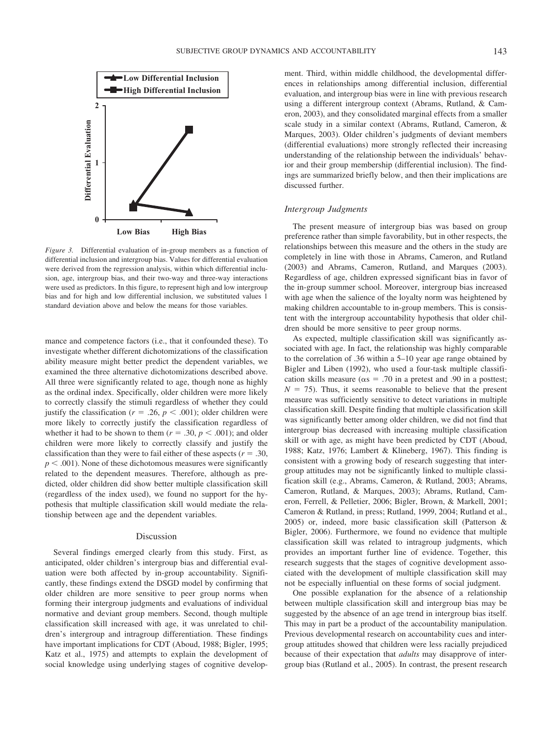

*Figure 3.* Differential evaluation of in-group members as a function of differential inclusion and intergroup bias. Values for differential evaluation were derived from the regression analysis, within which differential inclusion, age, intergroup bias, and their two-way and three-way interactions were used as predictors. In this figure, to represent high and low intergroup bias and for high and low differential inclusion, we substituted values 1 standard deviation above and below the means for those variables.

mance and competence factors (i.e., that it confounded these). To investigate whether different dichotomizations of the classification ability measure might better predict the dependent variables, we examined the three alternative dichotomizations described above. All three were significantly related to age, though none as highly as the ordinal index. Specifically, older children were more likely to correctly classify the stimuli regardless of whether they could justify the classification ( $r = .26$ ,  $p < .001$ ); older children were more likely to correctly justify the classification regardless of whether it had to be shown to them  $(r = .30, p < .001)$ ; and older children were more likely to correctly classify and justify the classification than they were to fail either of these aspects ( $r = .30$ ,  $p < .001$ ). None of these dichotomous measures were significantly related to the dependent measures. Therefore, although as predicted, older children did show better multiple classification skill (regardless of the index used), we found no support for the hypothesis that multiple classification skill would mediate the relationship between age and the dependent variables.

# Discussion

Several findings emerged clearly from this study. First, as anticipated, older children's intergroup bias and differential evaluation were both affected by in-group accountability. Significantly, these findings extend the DSGD model by confirming that older children are more sensitive to peer group norms when forming their intergroup judgments and evaluations of individual normative and deviant group members. Second, though multiple classification skill increased with age, it was unrelated to children's intergroup and intragroup differentiation. These findings have important implications for CDT (Aboud, 1988; Bigler, 1995; Katz et al., 1975) and attempts to explain the development of social knowledge using underlying stages of cognitive development. Third, within middle childhood, the developmental differences in relationships among differential inclusion, differential evaluation, and intergroup bias were in line with previous research using a different intergroup context (Abrams, Rutland, & Cameron, 2003), and they consolidated marginal effects from a smaller scale study in a similar context (Abrams, Rutland, Cameron, & Marques, 2003). Older children's judgments of deviant members (differential evaluations) more strongly reflected their increasing understanding of the relationship between the individuals' behavior and their group membership (differential inclusion). The findings are summarized briefly below, and then their implications are discussed further.

## *Intergroup Judgments*

The present measure of intergroup bias was based on group preference rather than simple favorability, but in other respects, the relationships between this measure and the others in the study are completely in line with those in Abrams, Cameron, and Rutland (2003) and Abrams, Cameron, Rutland, and Marques (2003). Regardless of age, children expressed significant bias in favor of the in-group summer school. Moreover, intergroup bias increased with age when the salience of the loyalty norm was heightened by making children accountable to in-group members. This is consistent with the intergroup accountability hypothesis that older children should be more sensitive to peer group norms.

As expected, multiple classification skill was significantly associated with age. In fact, the relationship was highly comparable to the correlation of .36 within a 5–10 year age range obtained by Bigler and Liben (1992), who used a four-task multiple classification skills measure ( $\alpha$ s = .70 in a pretest and .90 in a posttest;  $N = 75$ ). Thus, it seems reasonable to believe that the present measure was sufficiently sensitive to detect variations in multiple classification skill. Despite finding that multiple classification skill was significantly better among older children, we did not find that intergroup bias decreased with increasing multiple classification skill or with age, as might have been predicted by CDT (Aboud, 1988; Katz, 1976; Lambert & Klineberg, 1967). This finding is consistent with a growing body of research suggesting that intergroup attitudes may not be significantly linked to multiple classification skill (e.g., Abrams, Cameron, & Rutland, 2003; Abrams, Cameron, Rutland, & Marques, 2003); Abrams, Rutland, Cameron, Ferrell, & Pelletier, 2006; Bigler, Brown, & Markell, 2001; Cameron & Rutland, in press; Rutland, 1999, 2004; Rutland et al., 2005) or, indeed, more basic classification skill (Patterson & Bigler, 2006). Furthermore, we found no evidence that multiple classification skill was related to intragroup judgments, which provides an important further line of evidence. Together, this research suggests that the stages of cognitive development associated with the development of multiple classification skill may not be especially influential on these forms of social judgment.

One possible explanation for the absence of a relationship between multiple classification skill and intergroup bias may be suggested by the absence of an age trend in intergroup bias itself. This may in part be a product of the accountability manipulation. Previous developmental research on accountability cues and intergroup attitudes showed that children were less racially prejudiced because of their expectation that *adults* may disapprove of intergroup bias (Rutland et al., 2005). In contrast, the present research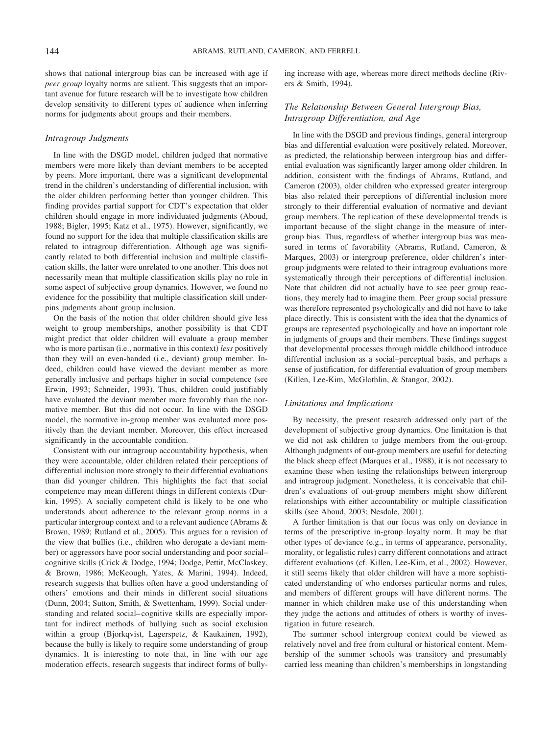shows that national intergroup bias can be increased with age if *peer group* loyalty norms are salient. This suggests that an important avenue for future research will be to investigate how children develop sensitivity to different types of audience when inferring norms for judgments about groups and their members.

#### *Intragroup Judgments*

In line with the DSGD model, children judged that normative members were more likely than deviant members to be accepted by peers. More important, there was a significant developmental trend in the children's understanding of differential inclusion, with the older children performing better than younger children. This finding provides partial support for CDT's expectation that older children should engage in more individuated judgments (Aboud, 1988; Bigler, 1995; Katz et al., 1975). However, significantly, we found no support for the idea that multiple classification skills are related to intragroup differentiation. Although age was significantly related to both differential inclusion and multiple classification skills, the latter were unrelated to one another. This does not necessarily mean that multiple classification skills play no role in some aspect of subjective group dynamics. However, we found no evidence for the possibility that multiple classification skill underpins judgments about group inclusion.

On the basis of the notion that older children should give less weight to group memberships, another possibility is that CDT might predict that older children will evaluate a group member who is more partisan (i.e., normative in this context) *less* positively than they will an even-handed (i.e., deviant) group member. Indeed, children could have viewed the deviant member as more generally inclusive and perhaps higher in social competence (see Erwin, 1993; Schneider, 1993). Thus, children could justifiably have evaluated the deviant member more favorably than the normative member. But this did not occur. In line with the DSGD model, the normative in-group member was evaluated more positively than the deviant member. Moreover, this effect increased significantly in the accountable condition.

Consistent with our intragroup accountability hypothesis, when they were accountable, older children related their perceptions of differential inclusion more strongly to their differential evaluations than did younger children. This highlights the fact that social competence may mean different things in different contexts (Durkin, 1995). A socially competent child is likely to be one who understands about adherence to the relevant group norms in a particular intergroup context and to a relevant audience (Abrams & Brown, 1989; Rutland et al., 2005). This argues for a revision of the view that bullies (i.e., children who derogate a deviant member) or aggressors have poor social understanding and poor social– cognitive skills (Crick & Dodge, 1994; Dodge, Pettit, McClaskey, & Brown, 1986; McKeough, Yates, & Marini, 1994). Indeed, research suggests that bullies often have a good understanding of others' emotions and their minds in different social situations (Dunn, 2004; Sutton, Smith, & Swettenham, 1999). Social understanding and related social–cognitive skills are especially important for indirect methods of bullying such as social exclusion within a group (Bjorkqvist, Lagerspetz, & Kaukainen, 1992), because the bully is likely to require some understanding of group dynamics. It is interesting to note that, in line with our age moderation effects, research suggests that indirect forms of bullying increase with age, whereas more direct methods decline (Rivers & Smith, 1994).

# *The Relationship Between General Intergroup Bias, Intragroup Differentiation, and Age*

In line with the DSGD and previous findings, general intergroup bias and differential evaluation were positively related. Moreover, as predicted, the relationship between intergroup bias and differential evaluation was significantly larger among older children. In addition, consistent with the findings of Abrams, Rutland, and Cameron (2003), older children who expressed greater intergroup bias also related their perceptions of differential inclusion more strongly to their differential evaluation of normative and deviant group members. The replication of these developmental trends is important because of the slight change in the measure of intergroup bias. Thus, regardless of whether intergroup bias was measured in terms of favorability (Abrams, Rutland, Cameron, & Marques, 2003) or intergroup preference, older children's intergroup judgments were related to their intragroup evaluations more systematically through their perceptions of differential inclusion. Note that children did not actually have to see peer group reactions, they merely had to imagine them. Peer group social pressure was therefore represented psychologically and did not have to take place directly. This is consistent with the idea that the dynamics of groups are represented psychologically and have an important role in judgments of groups and their members. These findings suggest that developmental processes through middle childhood introduce differential inclusion as a social–perceptual basis, and perhaps a sense of justification, for differential evaluation of group members (Killen, Lee-Kim, McGlothlin, & Stangor, 2002).

#### *Limitations and Implications*

By necessity, the present research addressed only part of the development of subjective group dynamics. One limitation is that we did not ask children to judge members from the out-group. Although judgments of out-group members are useful for detecting the black sheep effect (Marques et al., 1988), it is not necessary to examine these when testing the relationships between intergroup and intragroup judgment. Nonetheless, it is conceivable that children's evaluations of out-group members might show different relationships with either accountability or multiple classification skills (see Aboud, 2003; Nesdale, 2001).

A further limitation is that our focus was only on deviance in terms of the prescriptive in-group loyalty norm. It may be that other types of deviance (e.g., in terms of appearance, personality, morality, or legalistic rules) carry different connotations and attract different evaluations (cf. Killen, Lee-Kim, et al., 2002). However, it still seems likely that older children will have a more sophisticated understanding of who endorses particular norms and rules, and members of different groups will have different norms. The manner in which children make use of this understanding when they judge the actions and attitudes of others is worthy of investigation in future research.

The summer school intergroup context could be viewed as relatively novel and free from cultural or historical content. Membership of the summer schools was transitory and presumably carried less meaning than children's memberships in longstanding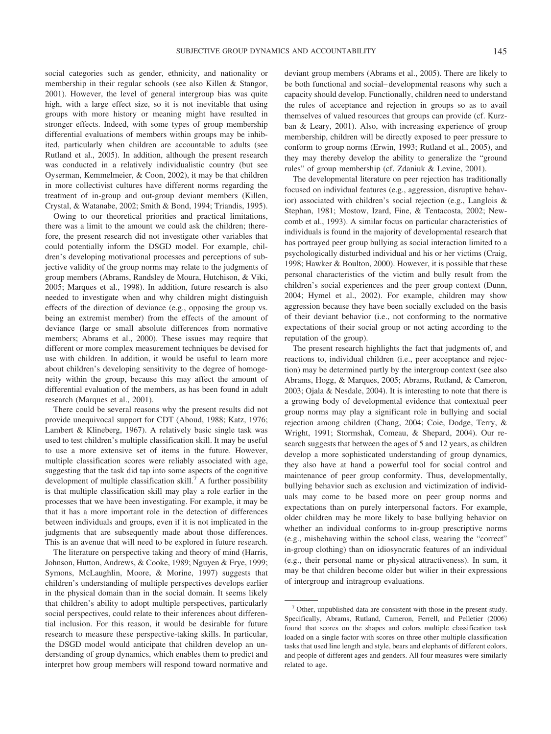social categories such as gender, ethnicity, and nationality or membership in their regular schools (see also Killen & Stangor, 2001). However, the level of general intergroup bias was quite high, with a large effect size, so it is not inevitable that using groups with more history or meaning might have resulted in stronger effects. Indeed, with some types of group membership differential evaluations of members within groups may be inhibited, particularly when children are accountable to adults (see Rutland et al., 2005). In addition, although the present research was conducted in a relatively individualistic country (but see Oyserman, Kemmelmeier, & Coon, 2002), it may be that children in more collectivist cultures have different norms regarding the treatment of in-group and out-group deviant members (Killen, Crystal, & Watanabe, 2002; Smith & Bond, 1994; Triandis, 1995).

Owing to our theoretical priorities and practical limitations, there was a limit to the amount we could ask the children; therefore, the present research did not investigate other variables that could potentially inform the DSGD model. For example, children's developing motivational processes and perceptions of subjective validity of the group norms may relate to the judgments of group members (Abrams, Randsley de Moura, Hutchison, & Viki, 2005; Marques et al., 1998). In addition, future research is also needed to investigate when and why children might distinguish effects of the direction of deviance (e.g., opposing the group vs. being an extremist member) from the effects of the amount of deviance (large or small absolute differences from normative members; Abrams et al., 2000). These issues may require that different or more complex measurement techniques be devised for use with children. In addition, it would be useful to learn more about children's developing sensitivity to the degree of homogeneity within the group, because this may affect the amount of differential evaluation of the members, as has been found in adult research (Marques et al., 2001).

There could be several reasons why the present results did not provide unequivocal support for CDT (Aboud, 1988; Katz, 1976; Lambert & Klineberg, 1967). A relatively basic single task was used to test children's multiple classification skill. It may be useful to use a more extensive set of items in the future. However, multiple classification scores were reliably associated with age, suggesting that the task did tap into some aspects of the cognitive development of multiple classification skill.<sup>7</sup> A further possibility is that multiple classification skill may play a role earlier in the processes that we have been investigating. For example, it may be that it has a more important role in the detection of differences between individuals and groups, even if it is not implicated in the judgments that are subsequently made about those differences. This is an avenue that will need to be explored in future research.

The literature on perspective taking and theory of mind (Harris, Johnson, Hutton, Andrews, & Cooke, 1989; Nguyen & Frye, 1999; Symons, McLaughlin, Moore, & Morine, 1997) suggests that children's understanding of multiple perspectives develops earlier in the physical domain than in the social domain. It seems likely that children's ability to adopt multiple perspectives, particularly social perspectives, could relate to their inferences about differential inclusion. For this reason, it would be desirable for future research to measure these perspective-taking skills. In particular, the DSGD model would anticipate that children develop an understanding of group dynamics, which enables them to predict and interpret how group members will respond toward normative and

deviant group members (Abrams et al., 2005). There are likely to be both functional and social–developmental reasons why such a capacity should develop. Functionally, children need to understand the rules of acceptance and rejection in groups so as to avail themselves of valued resources that groups can provide (cf. Kurzban & Leary, 2001). Also, with increasing experience of group membership, children will be directly exposed to peer pressure to conform to group norms (Erwin, 1993; Rutland et al., 2005), and they may thereby develop the ability to generalize the "ground rules" of group membership (cf. Zdaniuk & Levine, 2001).

The developmental literature on peer rejection has traditionally focused on individual features (e.g., aggression, disruptive behavior) associated with children's social rejection (e.g., Langlois & Stephan, 1981; Mostow, Izard, Fine, & Tentacosta, 2002; Newcomb et al., 1993). A similar focus on particular characteristics of individuals is found in the majority of developmental research that has portrayed peer group bullying as social interaction limited to a psychologically disturbed individual and his or her victims (Craig, 1998; Hawker & Boulton, 2000). However, it is possible that these personal characteristics of the victim and bully result from the children's social experiences and the peer group context (Dunn, 2004; Hymel et al., 2002). For example, children may show aggression because they have been socially excluded on the basis of their deviant behavior (i.e., not conforming to the normative expectations of their social group or not acting according to the reputation of the group).

The present research highlights the fact that judgments of, and reactions to, individual children (i.e., peer acceptance and rejection) may be determined partly by the intergroup context (see also Abrams, Hogg, & Marques, 2005; Abrams, Rutland, & Cameron, 2003; Ojala & Nesdale, 2004). It is interesting to note that there is a growing body of developmental evidence that contextual peer group norms may play a significant role in bullying and social rejection among children (Chang, 2004; Coie, Dodge, Terry, & Wright, 1991; Stormshak, Comeau, & Shepard, 2004). Our research suggests that between the ages of 5 and 12 years, as children develop a more sophisticated understanding of group dynamics, they also have at hand a powerful tool for social control and maintenance of peer group conformity. Thus, developmentally, bullying behavior such as exclusion and victimization of individuals may come to be based more on peer group norms and expectations than on purely interpersonal factors. For example, older children may be more likely to base bullying behavior on whether an individual conforms to in-group prescriptive norms (e.g., misbehaving within the school class, wearing the "correct" in-group clothing) than on idiosyncratic features of an individual (e.g., their personal name or physical attractiveness). In sum, it may be that children become older but wilier in their expressions of intergroup and intragroup evaluations.

 $<sup>7</sup>$  Other, unpublished data are consistent with those in the present study.</sup> Specifically, Abrams, Rutland, Cameron, Ferrell, and Pelletier (2006) found that scores on the shapes and colors multiple classification task loaded on a single factor with scores on three other multiple classification tasks that used line length and style, bears and elephants of different colors, and people of different ages and genders. All four measures were similarly related to age.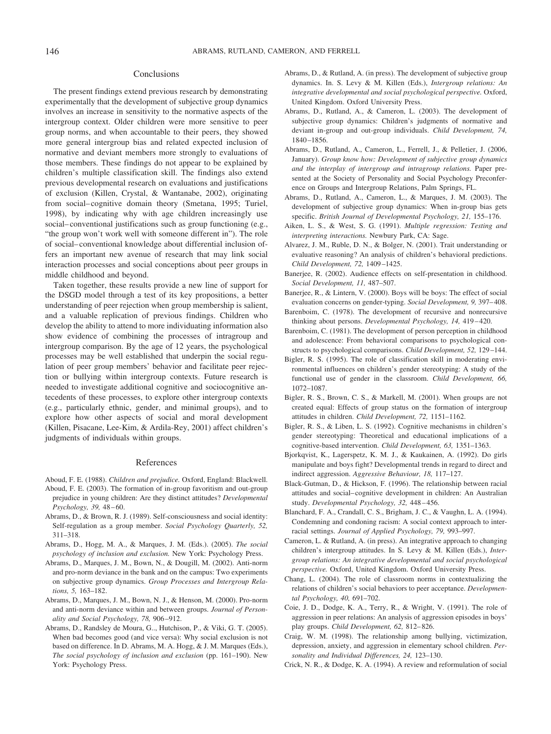#### Conclusions

The present findings extend previous research by demonstrating experimentally that the development of subjective group dynamics involves an increase in sensitivity to the normative aspects of the intergroup context. Older children were more sensitive to peer group norms, and when accountable to their peers, they showed more general intergroup bias and related expected inclusion of normative and deviant members more strongly to evaluations of those members. These findings do not appear to be explained by children's multiple classification skill. The findings also extend previous developmental research on evaluations and justifications of exclusion (Killen, Crystal, & Wantanabe, 2002), originating from social–cognitive domain theory (Smetana, 1995; Turiel, 1998), by indicating why with age children increasingly use social–conventional justifications such as group functioning (e.g., "the group won't work well with someone different in"). The role of social–conventional knowledge about differential inclusion offers an important new avenue of research that may link social interaction processes and social conceptions about peer groups in middle childhood and beyond.

Taken together, these results provide a new line of support for the DSGD model through a test of its key propositions, a better understanding of peer rejection when group membership is salient, and a valuable replication of previous findings. Children who develop the ability to attend to more individuating information also show evidence of combining the processes of intragroup and intergroup comparison. By the age of 12 years, the psychological processes may be well established that underpin the social regulation of peer group members' behavior and facilitate peer rejection or bullying within intergroup contexts. Future research is needed to investigate additional cognitive and sociocognitive antecedents of these processes, to explore other intergroup contexts (e.g., particularly ethnic, gender, and minimal groups), and to explore how other aspects of social and moral development (Killen, Pisacane, Lee-Kim, & Ardila-Rey, 2001) affect children's judgments of individuals within groups.

#### References

- Aboud, F. E. (1988). *Children and prejudice.* Oxford, England: Blackwell.
- Aboud, F. E. (2003). The formation of in-group favoritism and out-group prejudice in young children: Are they distinct attitudes? *Developmental Psychology, 39,* 48–60.
- Abrams, D., & Brown, R. J. (1989). Self-consciousness and social identity: Self-regulation as a group member. *Social Psychology Quarterly, 52,* 311–318.
- Abrams, D., Hogg, M. A., & Marques, J. M. (Eds.). (2005). *The social psychology of inclusion and exclusion.* New York: Psychology Press.
- Abrams, D., Marques, J. M., Bown, N., & Dougill, M. (2002). Anti-norm and pro-norm deviance in the bank and on the campus: Two experiments on subjective group dynamics. *Group Processes and Intergroup Relations, 5,* 163–182.
- Abrams, D., Marques, J. M., Bown, N. J., & Henson, M. (2000). Pro-norm and anti-norm deviance within and between groups. *Journal of Personality and Social Psychology, 78,* 906–912.
- Abrams, D., Randsley de Moura, G.., Hutchison, P., & Viki, G. T. (2005). When bad becomes good (and vice versa): Why social exclusion is not based on difference. In D. Abrams, M. A. Hogg, & J. M. Marques (Eds.), *The social psychology of inclusion and exclusion* (pp. 161–190). New York: Psychology Press.
- Abrams, D., & Rutland, A. (in press). The development of subjective group dynamics. In. S. Levy & M. Killen (Eds.), *Intergroup relations: An integrative developmental and social psychological perspective.* Oxford, United Kingdom. Oxford University Press.
- Abrams, D., Rutland, A., & Cameron, L. (2003). The development of subjective group dynamics: Children's judgments of normative and deviant in-group and out-group individuals. *Child Development, 74,* 1840–1856.
- Abrams, D., Rutland, A., Cameron, L., Ferrell, J., & Pelletier, J. (2006, January). *Group know how: Development of subjective group dynamics and the interplay of intergroup and intragroup relations.* Paper presented at the Society of Personality and Social Psychology Preconference on Groups and Intergroup Relations, Palm Springs, FL.
- Abrams, D., Rutland, A., Cameron, L., & Marques, J. M. (2003). The development of subjective group dynamics: When in-group bias gets specific. *British Journal of Developmental Psychology, 21,* 155–176.
- Aiken, L. S., & West, S. G. (1991). *Multiple regression: Testing and interpreting interactions.* Newbury Park, CA: Sage.
- Alvarez, J. M., Ruble, D. N., & Bolger, N. (2001). Trait understanding or evaluative reasoning? An analysis of children's behavioral predictions. *Child Development, 72,* 1409–1425.
- Banerjee, R. (2002). Audience effects on self-presentation in childhood. *Social Development, 11,* 487–507.
- Banerjee, R., & Lintern, V. (2000). Boys will be boys: The effect of social evaluation concerns on gender-typing. *Social Development, 9,* 397–408.
- Barenboim, C. (1978). The development of recursive and nonrecursive thinking about persons. *Developmental Psychology, 14,* 419–420.
- Barenboim, C. (1981). The development of person perception in childhood and adolescence: From behavioral comparisons to psychological constructs to psychological comparisons. *Child Development, 52,* 129–144.
- Bigler, R. S. (1995). The role of classification skill in moderating environmental influences on children's gender stereotyping: A study of the functional use of gender in the classroom. *Child Development, 66,* 1072–1087.
- Bigler, R. S., Brown, C. S., & Markell, M. (2001). When groups are not created equal: Effects of group status on the formation of intergroup attitudes in children. *Child Development, 72,* 1151–1162.
- Bigler, R. S., & Liben, L. S. (1992). Cognitive mechanisms in children's gender stereotyping: Theoretical and educational implications of a cognitive-based intervention. *Child Development, 63,* 1351–1363.
- Bjorkqvist, K., Lagerspetz, K. M. J., & Kaukainen, A. (1992). Do girls manipulate and boys fight? Developmental trends in regard to direct and indirect aggression. *Aggressive Behaviour, 18,* 117–127.
- Black-Gutman, D., & Hickson, F. (1996). The relationship between racial attitudes and social–cognitive development in children: An Australian study. *Developmental Psychology, 32,* 448–456.
- Blanchard, F. A., Crandall, C. S., Brigham, J. C., & Vaughn, L. A. (1994). Condemning and condoning racism: A social context approach to interracial settings. *Journal of Applied Psychology, 79,* 993–997.
- Cameron, L. & Rutland, A. (in press). An integrative approach to changing children's intergroup attitudes. In S. Levy & M. Killen (Eds.), *Intergroup relations: An integrative developmental and social psychological perspective.* Oxford, United Kingdom. Oxford University Press.
- Chang, L. (2004). The role of classroom norms in contextualizing the relations of children's social behaviors to peer acceptance. *Developmental Psychology, 40,* 691–702.
- Coie, J. D., Dodge, K. A., Terry, R., & Wright, V. (1991). The role of aggression in peer relations: An analysis of aggression episodes in boys' play groups. *Child Development, 62,* 812–826.
- Craig, W. M. (1998). The relationship among bullying, victimization, depression, anxiety, and aggression in elementary school children. *Personality and Individual Differences, 24,* 123–130.
- Crick, N. R., & Dodge, K. A. (1994). A review and reformulation of social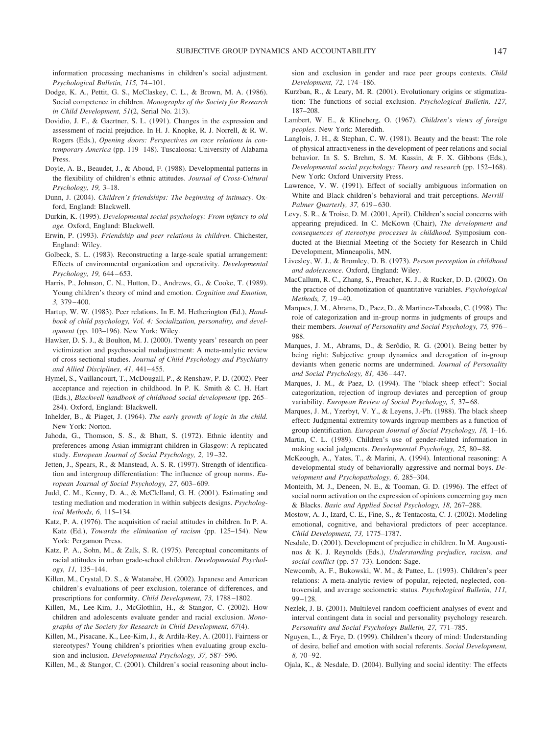information processing mechanisms in children's social adjustment. *Psychological Bulletin, 115,* 74–101.

- Dodge, K. A., Pettit, G. S., McClaskey, C. L., & Brown, M. A. (1986). Social competence in children. *Monographs of the Society for Research in Child Development, 51*(2, Serial No. 213).
- Dovidio, J. F., & Gaertner, S. L. (1991). Changes in the expression and assessment of racial prejudice. In H. J. Knopke, R. J. Norrell, & R. W. Rogers (Eds.), *Opening doors: Perspectives on race relations in contemporary America* (pp. 119–148). Tuscaloosa: University of Alabama Press.
- Doyle, A. B., Beaudet, J., & Aboud, F. (1988). Developmental patterns in the flexibility of children's ethnic attitudes. *Journal of Cross-Cultural Psychology, 19,* 3–18.
- Dunn, J. (2004). *Children's friendships: The beginning of intimacy.* Oxford, England: Blackwell.
- Durkin, K. (1995). *Developmental social psychology: From infancy to old age.* Oxford, England: Blackwell.
- Erwin, P. (1993). *Friendship and peer relations in children.* Chichester, England: Wiley.
- Golbeck, S. L. (1983). Reconstructing a large-scale spatial arrangement: Effects of environmental organization and operativity. *Developmental Psychology, 19,* 644–653.
- Harris, P., Johnson, C. N., Hutton, D., Andrews, G., & Cooke, T. (1989). Young children's theory of mind and emotion. *Cognition and Emotion, 3,* 379–400.
- Hartup, W. W. (1983). Peer relations. In E. M. Hetherington (Ed.), *Handbook of child psychology, Vol. 4: Socialization, personality, and development* (pp. 103–196). New York: Wiley.
- Hawker, D. S. J., & Boulton, M. J. (2000). Twenty years' research on peer victimization and psychosocial maladjustment: A meta-analytic review of cross sectional studies. *Journal of Child Psychology and Psychiatry and Allied Disciplines, 41,* 441–455.
- Hymel, S., Vaillancourt, T., McDougall, P., & Renshaw, P. D. (2002). Peer acceptance and rejection in childhood. In P. K. Smith & C. H. Hart (Eds.), *Blackwell handbook of childhood social development* (pp. 265– 284). Oxford, England: Blackwell.
- Inhelder, B., & Piaget, J. (1964). *The early growth of logic in the child.* New York: Norton.
- Jahoda, G., Thomson, S. S., & Bhatt, S. (1972). Ethnic identity and preferences among Asian immigrant children in Glasgow: A replicated study. *European Journal of Social Psychology, 2,* 19–32.
- Jetten, J., Spears, R., & Manstead, A. S. R. (1997). Strength of identification and intergroup differentiation: The influence of group norms. *European Journal of Social Psychology, 27,* 603–609.
- Judd, C. M., Kenny, D. A., & McClelland, G. H. (2001). Estimating and testing mediation and moderation in within subjects designs. *Psychological Methods, 6,* 115–134.
- Katz, P. A. (1976). The acquisition of racial attitudes in children. In P. A. Katz (Ed.), *Towards the elimination of racism* (pp. 125–154). New York: Pergamon Press.
- Katz, P. A., Sohn, M., & Zalk, S. R. (1975). Perceptual concomitants of racial attitudes in urban grade-school children. *Developmental Psychology, 11,* 135–144.
- Killen, M., Crystal, D. S., & Watanabe, H. (2002). Japanese and American children's evaluations of peer exclusion, tolerance of differences, and prescriptions for conformity. *Child Development, 73,* 1788–1802.
- Killen, M., Lee-Kim, J., McGlothlin, H., & Stangor, C. (2002). How children and adolescents evaluate gender and racial exclusion. *Monographs of the Society for Research in Child Development, 67*(4).
- Killen, M., Pisacane, K., Lee-Kim, J., & Ardila-Rey, A. (2001). Fairness or stereotypes? Young children's priorities when evaluating group exclusion and inclusion. *Developmental Psychology, 37,* 587–596.

Killen, M., & Stangor, C. (2001). Children's social reasoning about inclu-

sion and exclusion in gender and race peer groups contexts. *Child Development, 72,* 174–186.

- Kurzban, R., & Leary, M. R. (2001). Evolutionary origins or stigmatization: The functions of social exclusion. *Psychological Bulletin, 127,* 187–208.
- Lambert, W. E., & Klineberg, O. (1967). *Children's views of foreign peoples.* New York: Meredith.
- Langlois, J. H., & Stephan, C. W. (1981). Beauty and the beast: The role of physical attractiveness in the development of peer relations and social behavior. In S. S. Brehm, S. M. Kassin, & F. X. Gibbons (Eds.), *Developmental social psychology: Theory and research* (pp. 152–168). New York: Oxford University Press.
- Lawrence, V. W. (1991). Effect of socially ambiguous information on White and Black children's behavioral and trait perceptions. *Merrill– Palmer Quarterly, 37,* 619–630.
- Levy, S. R., & Troise, D. M. (2001, April). Children's social concerns with appearing prejudiced. In C. McKown (Chair), *The development and consequences of stereotype processes in childhood.* Symposium conducted at the Biennial Meeting of the Society for Research in Child Development, Minneapolis, MN.
- Livesley, W. J., & Bromley, D. B. (1973). *Person perception in childhood and adolescence.* Oxford, England: Wiley.
- MacCallum, R. C., Zhang, S., Preacher, K. J., & Rucker, D. D. (2002). On the practice of dichomotization of quantitative variables. *Psychological Methods, 7,* 19–40.
- Marques, J. M., Abrams, D., Paez, D., & Martinez-Taboada, C. (1998). The role of categorization and in-group norms in judgments of groups and their members. *Journal of Personality and Social Psychology, 75,* 976– 988.
- Marques, J. M., Abrams, D., & Serôdio, R. G. (2001). Being better by being right: Subjective group dynamics and derogation of in-group deviants when generic norms are undermined. *Journal of Personality and Social Psychology, 81,* 436–447.
- Marques, J. M., & Paez, D. (1994). The "black sheep effect": Social categorization, rejection of ingroup deviates and perception of group variability. *European Review of Social Psychology, 5,* 37–68.
- Marques, J. M., Yzerbyt, V. Y., & Leyens, J.-Ph. (1988). The black sheep effect: Judgmental extremity towards ingroup members as a function of group identification. *European Journal of Social Psychology, 18,* 1–16.
- Martin, C. L. (1989). Children's use of gender-related information in making social judgments. *Developmental Psychology, 25,* 80–88.
- McKeough, A., Yates, T., & Marini, A. (1994). Intentional reasoning: A developmental study of behaviorally aggressive and normal boys. *Development and Psychopathology, 6,* 285–304.
- Monteith, M. J., Deneen, N. E., & Tooman, G. D. (1996). The effect of social norm activation on the expression of opinions concerning gay men & Blacks. *Basic and Applied Social Psychology, 18,* 267–288.
- Mostow, A. J., Izard, C. E., Fine, S., & Tentacosta, C. J. (2002). Modeling emotional, cognitive, and behavioral predictors of peer acceptance. *Child Development, 73,* 1775–1787.
- Nesdale, D. (2001). Development of prejudice in children. In M. Augoustinos & K. J. Reynolds (Eds.), *Understanding prejudice, racism, and social conflict* (pp. 57–73). London: Sage.
- Newcomb, A. F., Bukowski, W. M., & Pattee, L. (1993). Children's peer relations: A meta-analytic review of popular, rejected, neglected, controversial, and average sociometric status. *Psychological Bulletin, 111,* 99–128.
- Nezlek, J. B. (2001). Multilevel random coefficient analyses of event and interval contingent data in social and personality psychology research. *Personality and Social Psychology Bulletin, 27,* 771–785.
- Nguyen, L., & Frye, D. (1999). Children's theory of mind: Understanding of desire, belief and emotion with social referents. *Social Development, 8,* 70–92.
- Ojala, K., & Nesdale, D. (2004). Bullying and social identity: The effects